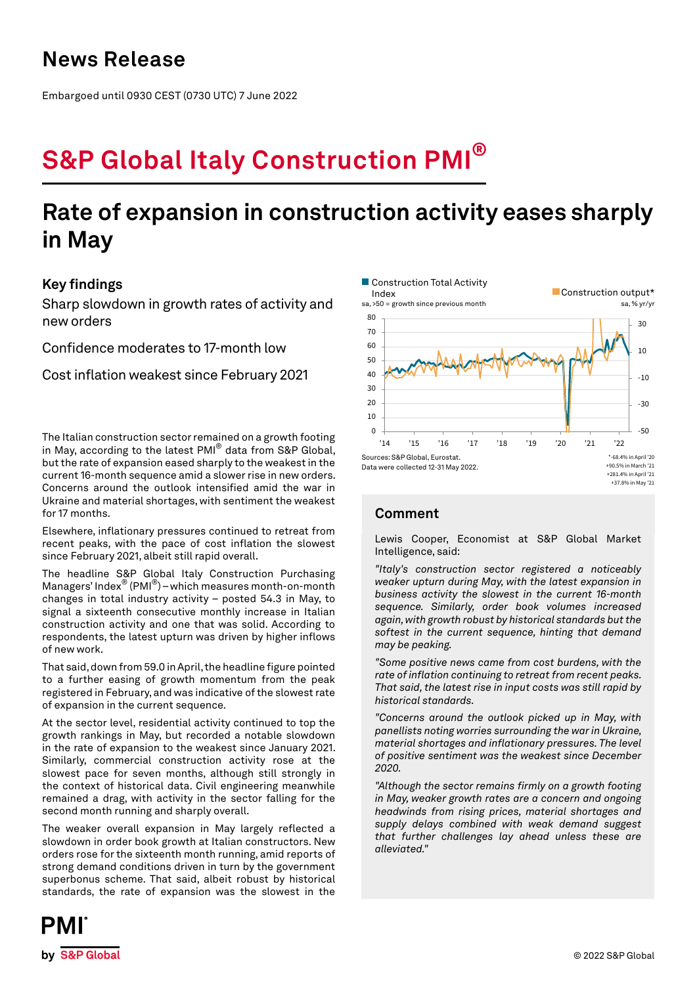## **News Release**

Embargoed until 0930 CEST (0730 UTC) 7 June 2022

# **S&P Global Italy Construction PMI®**

## **Rate of expansion in construction activity eases sharply in May**

## **Key findings**

Sharp slowdown in growth rates of activity and new orders

Confidence moderates to 17-month low

Cost inflation weakest since February 2021

The Italian construction sector remained on a growth footing in May, according to the latest PMI® data from S&P Global, but the rate of expansion eased sharply to the weakest in the current 16-month sequence amid a slower rise in new orders. Concerns around the outlook intensified amid the war in Ukraine and material shortages, with sentiment the weakest for 17 months.

Elsewhere, inflationary pressures continued to retreat from recent peaks, with the pace of cost inflation the slowest since February 2021, albeit still rapid overall.

The headline S&P Global Italy Construction Purchasing Managers' Index<sup>®</sup> (PMI<sup>®</sup>) – which measures month-on-month changes in total industry activity – posted 54.3 in May, to signal a sixteenth consecutive monthly increase in Italian construction activity and one that was solid. According to respondents, the latest upturn was driven by higher inflows of new work.

That said, down from 59.0 in April, the headline figure pointed to a further easing of growth momentum from the peak registered in February, and was indicative of the slowest rate of expansion in the current sequence.

At the sector level, residential activity continued to top the growth rankings in May, but recorded a notable slowdown in the rate of expansion to the weakest since January 2021. Similarly, commercial construction activity rose at the slowest pace for seven months, although still strongly in the context of historical data. Civil engineering meanwhile remained a drag, with activity in the sector falling for the second month running and sharply overall.

The weaker overall expansion in May largely reflected a slowdown in order book growth at Italian constructors. New orders rose for the sixteenth month running, amid reports of strong demand conditions driven in turn by the government superbonus scheme. That said, albeit robust by historical standards, the rate of expansion was the slowest in the



## **Comment**

Lewis Cooper, Economist at S&P Global Market Intelligence, said:

*"Italy's construction sector registered a noticeably weaker upturn during May, with the latest expansion in business activity the slowest in the current 16-month sequence. Similarly, order book volumes increased again, with growth robust by historical standards but the softest in the current sequence, hinting that demand may be peaking.*

*"Some positive news came from cost burdens, with the rate of inflation continuing to retreat from recent peaks. That said, the latest rise in input costs was still rapid by historical standards.*

*"Concerns around the outlook picked up in May, with panellists noting worries surrounding the war in Ukraine, material shortages and inflationary pressures. The level of positive sentiment was the weakest since December 2020.*

*"Although the sector remains firmly on a growth footing in May, weaker growth rates are a concern and ongoing headwinds from rising prices, material shortages and supply delays combined with weak demand suggest that further challenges lay ahead unless these are alleviated."*